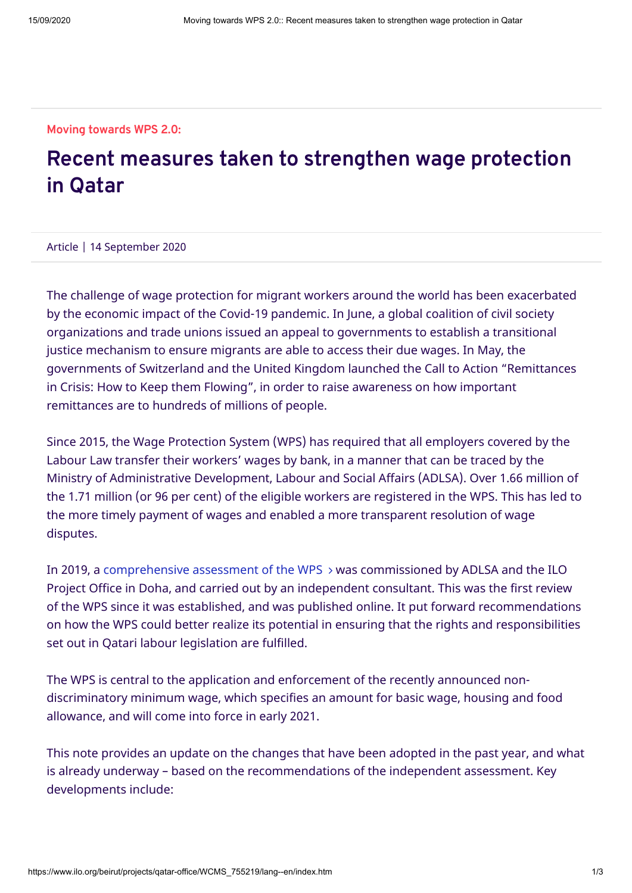## **Moving towards WPS 2.0:**

## **Recent measures taken to strengthen wage protection in Qatar**

Article | 14 September 2020

The challenge of wage protection for migrant workers around the world has been exacerbated by the economic impact of the Covid-19 pandemic. In June, a global coalition of civil society organizations and trade unions issued an appeal to governments to establish a transitional justice mechanism to ensure migrants are able to access their due wages. In May, the governments of Switzerland and the United Kingdom launched the Call to Action "Remittances in Crisis: How to Keep them Flowing", in order to raise awareness on how important remittances are to hundreds of millions of people.

Since 2015, the Wage Protection System (WPS) has required that all employers covered by the Labour Law transfer their workers' wages by bank, in a manner that can be traced by the Ministry of Administrative Development, Labour and Social Affairs (ADLSA). Over 1.66 million of the 1.71 million (or 96 per cent) of the eligible workers are registered in the WPS. This has led to the more timely payment of wages and enabled a more transparent resolution of wage disputes.

In 2019, a [comprehensive assessment of the WPS](https://www.ilo.org/beirut/projects/qatar-office/WCMS_726174/lang--en/index.htm)  $\rightarrow$  was commissioned by ADLSA and the ILO Project Office in Doha, and carried out by an independent consultant. This was the first review of the WPS since it was established, and was published online. It put forward recommendations on how the WPS could better realize its potential in ensuring that the rights and responsibilities set out in Qatari labour legislation are fulfilled.

The WPS is central to the application and enforcement of the recently announced nondiscriminatory minimum wage, which specifies an amount for basic wage, housing and food allowance, and will come into force in early 2021.

This note provides an update on the changes that have been adopted in the past year, and what is already underway – based on the recommendations of the independent assessment. Key developments include: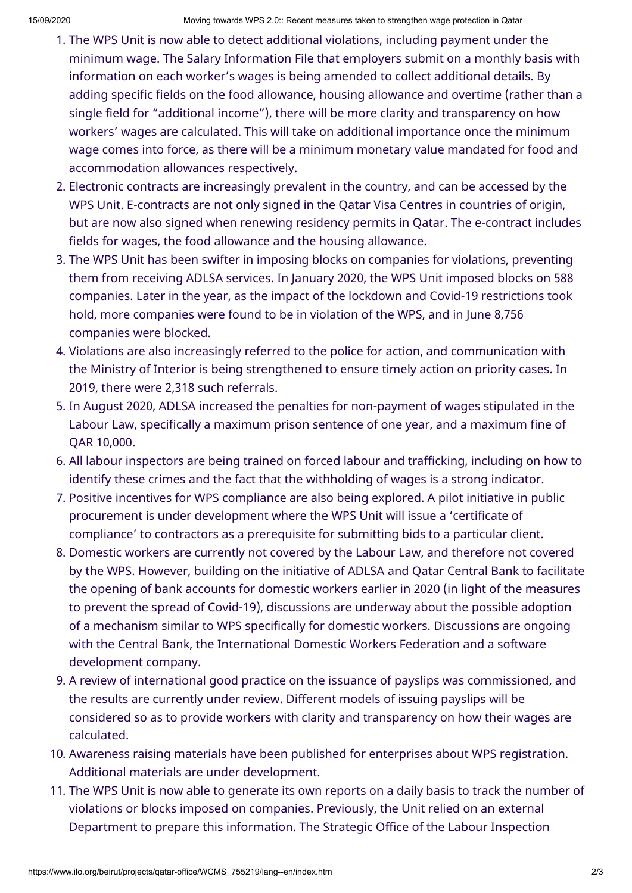- 1. The WPS Unit is now able to detect additional violations, including payment under the minimum wage. The Salary Information File that employers submit on a monthly basis with information on each worker's wages is being amended to collect additional details. By adding specific fields on the food allowance, housing allowance and overtime (rather than a single field for "additional income"), there will be more clarity and transparency on how workers' wages are calculated. This will take on additional importance once the minimum wage comes into force, as there will be a minimum monetary value mandated for food and accommodation allowances respectively.
- 2. Electronic contracts are increasingly prevalent in the country, and can be accessed by the WPS Unit. E-contracts are not only signed in the Qatar Visa Centres in countries of origin, but are now also signed when renewing residency permits in Qatar. The e-contract includes fields for wages, the food allowance and the housing allowance.
- 3. The WPS Unit has been swifter in imposing blocks on companies for violations, preventing them from receiving ADLSA services. In January 2020, the WPS Unit imposed blocks on 588 companies. Later in the year, as the impact of the lockdown and Covid-19 restrictions took hold, more companies were found to be in violation of the WPS, and in June 8,756 companies were blocked.
- 4. Violations are also increasingly referred to the police for action, and communication with the Ministry of Interior is being strengthened to ensure timely action on priority cases. In 2019, there were 2,318 such referrals.
- 5. In August 2020, ADLSA increased the penalties for non-payment of wages stipulated in the Labour Law, specifically a maximum prison sentence of one year, and a maximum fine of QAR 10,000.
- 6. All labour inspectors are being trained on forced labour and trafficking, including on how to identify these crimes and the fact that the withholding of wages is a strong indicator.
- 7. Positive incentives for WPS compliance are also being explored. A pilot initiative in public procurement is under development where the WPS Unit will issue a 'certificate of compliance' to contractors as a prerequisite for submitting bids to a particular client.
- 8. Domestic workers are currently not covered by the Labour Law, and therefore not covered by the WPS. However, building on the initiative of ADLSA and Qatar Central Bank to facilitate the opening of bank accounts for domestic workers earlier in 2020 (in light of the measures to prevent the spread of Covid-19), discussions are underway about the possible adoption of a mechanism similar to WPS specifically for domestic workers. Discussions are ongoing with the Central Bank, the International Domestic Workers Federation and a software development company.
- 9. A review of international good practice on the issuance of payslips was commissioned, and the results are currently under review. Different models of issuing payslips will be considered so as to provide workers with clarity and transparency on how their wages are calculated.
- 10. Awareness raising materials have been published for enterprises about WPS registration. Additional materials are under development.
- 11. The WPS Unit is now able to generate its own reports on a daily basis to track the number of violations or blocks imposed on companies. Previously, the Unit relied on an external Department to prepare this information. The Strategic Office of the Labour Inspection